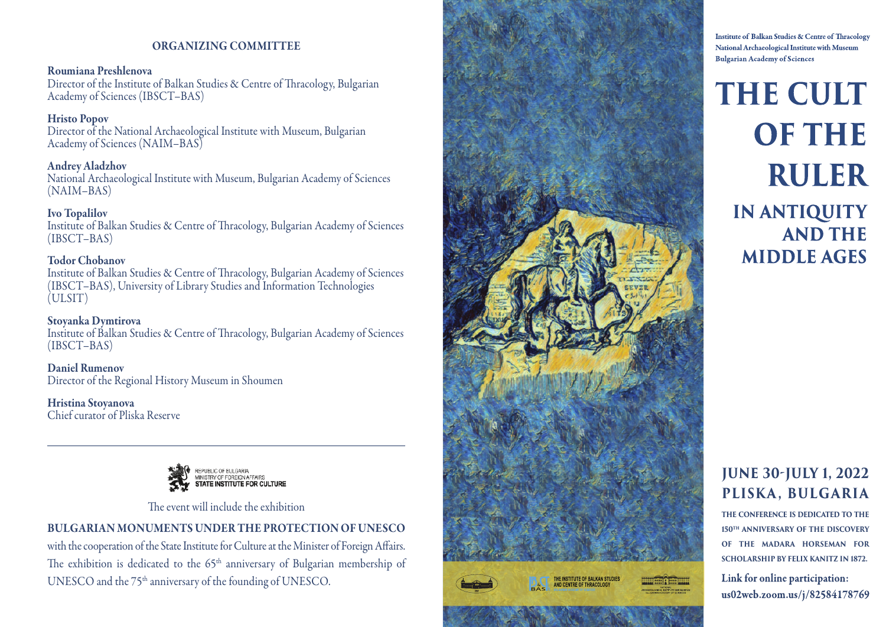#### ORGANIZING COMMITTEE

Roumiana Preshlenova Director of the Institute of Balkan Studies & Centre of Thracology, Bulgarian Academy of Sciences (IBSCT–BAS)

Hristo Popov Director of the National Archaeological Institute with Museum, Bulgarian Academy of Sciences (NAIM–BAS)

Andrey Aladzhov National Archaeological Institute with Museum, Bulgarian Academy of Sciences (NAIM–BAS)

Ivo Topalilov Institute of Balkan Studies & Centre of Thracology, Bulgarian Academy of Sciences (IBSCT–BAS)

Todor Chobanov Institute of Balkan Studies & Centre of Thracology, Bulgarian Academy of Sciences (IBSCT–BAS), University of Library Studies and Information Technologies (ULSIT)

Stoyanka Dymtirova Institute of Balkan Studies & Centre of Thracology, Bulgarian Academy of Sciences (IBSCT–BAS)

Daniel Rumenov Director of the Regional History Museum in Shoumen

Hristina Stoyanova Chief curator of Pliska Reserve



The event will include the exhibition

### BULGARIAN MONUMENTS UNDER THE PROTECTION OF UNESCO

with the cooperation of the State Institute for Culture at the Minister of Foreign Affairs. The exhibition is dedicated to the 65<sup>th</sup> anniversary of Bulgarian membership of UNESCO and the 75<sup>th</sup> anniversary of the founding of UNESCO.



**Institute of Balkan Studies & Centre of Thracology** National Archaeological Institute with Museum **Bulgarian Academy of Sciences** 

# **THE CULT** OF THE RULER **IN ANTIQUITY AND THE MIDDLE AGES**

## **JUNE 30-JULY 1, 2022 PLISKA, BULGARIA**

**THE CONFERENCE IS DEDICATED TO THE 150TH ANNIVERSARY OF THE DISCOVERY OF THE MADARA HORSEMAN FOR SCHOLARSHIP BY FELIX KANITZ IN 1872.** 

Link for online participation: us02web.zoom.us/j/82584178769